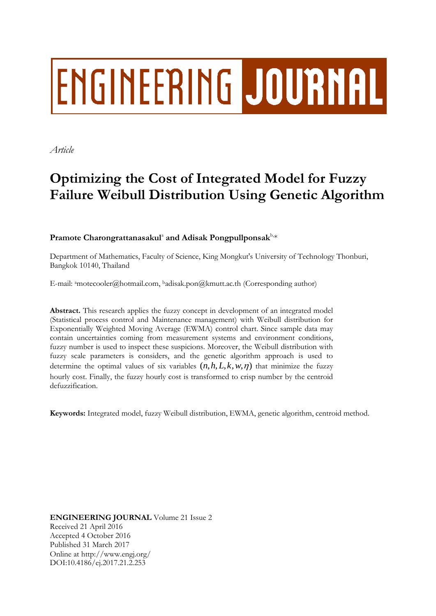# **ENGINEERING JOURNAL**

*Article*

# **Optimizing the Cost of Integrated Model for Fuzzy Failure Weibull Distribution Using Genetic Algorithm**

Pramote Charongrattanasakul<sup>a</sup> and Adisak Pongpullponsak<sup>b,\*</sup>

Department of Mathematics, Faculty of Science, King Mongkut's University of Technology Thonburi, Bangkok 10140, Thailand

E-mail: amotecooler@hotmail.com, <sup>b</sup>adisak.pon@kmutt.ac.th (Corresponding author)

**Abstract.** This research applies the fuzzy concept in development of an integrated model (Statistical process control and Maintenance management) with Weibull distribution for Exponentially Weighted Moving Average (EWMA) control chart. Since sample data may contain uncertainties coming from measurement systems and environment conditions, fuzzy number is used to inspect these suspicions. Moreover, the Weibull distribution with fuzzy scale parameters is considers, and the genetic algorithm approach is used to determine the optimal values of six variables  $(n, h, L, k, w, \eta)$  that minimize the fuzzy hourly cost. Finally, the fuzzy hourly cost is transformed to crisp number by the centroid defuzzification.

**Keywords:** Integrated model, fuzzy Weibull distribution, EWMA, genetic algorithm, centroid method.

**ENGINEERING JOURNAL** Volume 21 Issue 2 Received 21 April 2016 Accepted 4 October 2016 Published 31 March 2017 Online at http://www.engj.org/ DOI:10.4186/ej.2017.21.2.253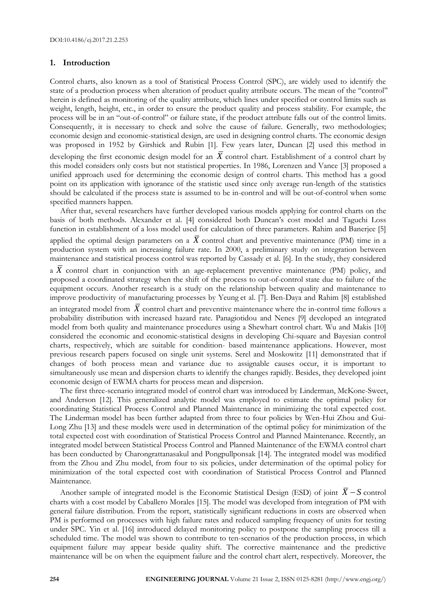#### **1. Introduction**

Control charts, also known as a tool of Statistical Process Control (SPC), are widely used to identify the state of a production process when alteration of product quality attribute occurs. The mean of the ''control'' herein is defined as monitoring of the quality attribute, which lines under specified or control limits such as weight, length, height, etc., in order to ensure the product quality and process stability. For example, the process will be in an "out-of-control" or failure state, if the product attribute falls out of the control limits. Consequently, it is necessary to check and solve the cause of failure. Generally, two methodologies; economic design and economic-statistical design, are used in designing control charts. The economic design was proposed in 1952 by Girshick and Rubin [1]. Few years later, Duncan [2] used this method in developing the first economic design model for an  $\overline{X}$  control chart. Establishment of a control chart by this model considers only costs but not statistical properties. In 1986, Lorenzen and Vance [3] proposed a unified approach used for determining the economic design of control charts. This method has a good point on its application with ignorance of the statistic used since only average run-length of the statistics should be calculated if the process state is assumed to be in-control and will be out-of-control when some specified manners happen.

After that, several researchers have further developed various models applying for control charts on the basis of both methods. Alexander et al. [4] considered both Duncan's cost model and Taguchi Loss function in establishment of a loss model used for calculation of three parameters. Rahim and Banerjee [5] applied the optimal design parameters on a  $\overline{X}$  control chart and preventive maintenance (PM) time in a production system with an increasing failure rate. In 2000, a preliminary study on integration between maintenance and statistical process control was reported by Cassady et al. [6]. In the study, they considered a  $\overline{X}$  control chart in conjunction with an age-replacement preventive maintenance (PM) policy, and proposed a coordinated strategy when the shift of the process to out-of-control state due to failure of the equipment occurs. Another research is a study on the relationship between quality and maintenance to improve productivity of manufacturing processes by Yeung et al. [7]. Ben-Daya and Rahim [8] established an integrated model from  $\overline{X}$  control chart and preventive maintenance where the in-control time follows a probability distribution with increased hazard rate. Panagiotidou and Nenes [9] developed an integrated

model from both quality and maintenance procedures using a Shewhart control chart. Wu and Makis [10] considered the economic and economic-statistical designs in developing Chi-square and Bayesian control charts, respectively, which are suitable for condition- based maintenance applications. However, most previous research papers focused on single unit systems. Serel and Moskowitz [11] demonstrated that if changes of both process mean and variance due to assignable causes occur, it is important to simultaneously use mean and dispersion charts to identify the changes rapidly. Besides, they developed joint economic design of EWMA charts for process mean and dispersion.

The first three-scenario integrated model of control chart was introduced by Linderman, McKone-Sweet, and Anderson [12]. This generalized analytic model was employed to estimate the optimal policy for coordinating Statistical Process Control and Planned Maintenance in minimizing the total expected cost. The Linderman model has been further adapted from three to four policies by Wen-Hui Zhou and Gui-Long Zhu [13] and these models were used in determination of the optimal policy for minimization of the total expected cost with coordination of Statistical Process Control and Planned Maintenance. Recently, an integrated model between Statistical Process Control and Planned Maintenance of the EWMA control chart has been conducted by Charongrattanasakul and Pongpullponsak [14]. The integrated model was modified from the Zhou and Zhu model, from four to six policies, under determination of the optimal policy for minimization of the total expected cost with coordination of Statistical Process Control and Planned Maintenance.

Another sample of integrated model is the Economic Statistical Design (ESD) of joint  $\overline{X} - S$  control charts with a cost model by Caballero Morales [15]. The model was developed from integration of PM with general failure distribution. From the report, statistically significant reductions in costs are observed when PM is performed on processes with high failure rates and reduced sampling frequency of units for testing under SPC. Yin et al. [16] introduced delayed monitoring policy to postpone the sampling process till a scheduled time. The model was shown to contribute to ten-scenarios of the production process, in which equipment failure may appear beside quality shift. The corrective maintenance and the predictive maintenance will be on when the equipment failure and the control chart alert, respectively. Moreover, the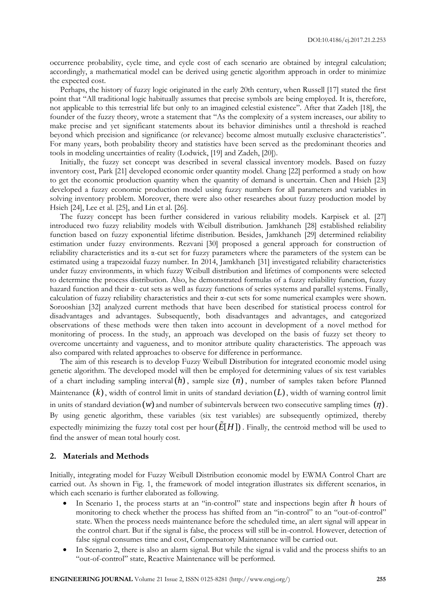occurrence probability, cycle time, and cycle cost of each scenario are obtained by integral calculation; accordingly, a mathematical model can be derived using genetic algorithm approach in order to minimize the expected cost.

Perhaps, the history of fuzzy logic originated in the early 20th century, when Russell [17] stated the first point that "All traditional logic habitually assumes that precise symbols are being employed. It is, therefore, not applicable to this terrestrial life but only to an imagined celestial existence". After that Zadeh [18], the founder of the fuzzy theory, wrote a statement that "As the complexity of a system increases, our ability to make precise and yet significant statements about its behavior diminishes until a threshold is reached beyond which precision and significance (or relevance) become almost mutually exclusive characteristics". For many years, both probability theory and statistics have been served as the predominant theories and tools in modeling uncertainties of reality (Lodwick, [19] and Zadeh, [20]).

Initially, the fuzzy set concept was described in several classical inventory models. Based on fuzzy inventory cost, Park [21] developed economic order quantity model. Chang [22] performed a study on how to get the economic production quantity when the quantity of demand is uncertain. Chen and Hsieh [23] developed a fuzzy economic production model using fuzzy numbers for all parameters and variables in solving inventory problem. Moreover, there were also other researches about fuzzy production model by Hsieh [24], Lee et al. [25], and Lin et al. [26].

The fuzzy concept has been further considered in various reliability models. Karpisek et al. [27] introduced two fuzzy reliability models with Weibull distribution. Jamkhaneh [28] established reliability function based on fuzzy exponential lifetime distribution. Besides, Jamkhaneh [29] determined reliability estimation under fuzzy environments. Rezvani [30] proposed a general approach for construction of reliability characteristics and its α-cut set for fuzzy parameters where the parameters of the system can be estimated using a trapezoidal fuzzy number. In 2014, Jamkhaneh [31] investigated reliability characteristics under fuzzy environments, in which fuzzy Weibull distribution and lifetimes of components were selected to determine the process distribution. Also, he demonstrated formulas of a fuzzy reliability function, fuzzy hazard function and their α- cut sets as well as fuzzy functions of series systems and parallel systems. Finally, calculation of fuzzy reliability characteristics and their α-cut sets for some numerical examples were shown. Sorooshian [32] analyzed current methods that have been described for statistical process control for disadvantages and advantages. Subsequently, both disadvantages and advantages, and categorized observations of these methods were then taken into account in development of a novel method for monitoring of process. In the study, an approach was developed on the basis of fuzzy set theory to overcome uncertainty and vagueness, and to monitor attribute quality characteristics. The approach was also compared with related approaches to observe for difference in performance.

The aim of this research is to develop Fuzzy Weibull Distribution for integrated economic model using genetic algorithm. The developed model will then be employed for determining values of six test variables of a chart including sampling interval  $(h)$ , sample size  $(n)$ , number of samples taken before Planned Maintenance (k), width of control limit in units of standard deviation (L), width of warning control limit in units of standard deviation  $(w)$  and number of subintervals between two consecutive sampling times  $(\eta)$ . By using genetic algorithm, these variables (six test variables) are subsequently optimized, thereby expectedly minimizing the fuzzy total cost per hour  $(E[H])$  . Finally, the centroid method will be used to find the answer of mean total hourly cost.

#### **2. Materials and Methods**

Initially, integrating model for Fuzzy Weibull Distribution economic model by EWMA Control Chart are carried out. As shown in Fig. 1, the framework of model integration illustrates six different scenarios, in which each scenario is further elaborated as following.

- In Scenario 1, the process starts at an "in-control" state and inspections begin after h hours of monitoring to check whether the process has shifted from an "in-control" to an "out-of-control" state. When the process needs maintenance before the scheduled time, an alert signal will appear in the control chart. But if the signal is false, the process will still be in-control. However, detection of false signal consumes time and cost, Compensatory Maintenance will be carried out.
- In Scenario 2, there is also an alarm signal. But while the signal is valid and the process shifts to an "out-of-control" state, Reactive Maintenance will be performed.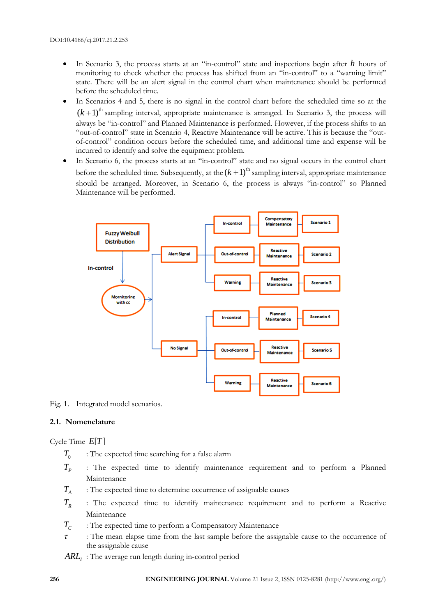- In Scenario 3, the process starts at an "in-control" state and inspections begin after h hours of monitoring to check whether the process has shifted from an "in-control" to a "warning limit" state. There will be an alert signal in the control chart when maintenance should be performed before the scheduled time.
- In Scenarios 4 and 5, there is no signal in the control chart before the scheduled time so at the  $(k+1)$ <sup>th</sup> sampling interval, appropriate maintenance is arranged. In Scenario 3, the process will always be "in-control" and Planned Maintenance is performed. However, if the process shifts to an "out-of-control" state in Scenario 4, Reactive Maintenance will be active. This is because the "outof-control" condition occurs before the scheduled time, and additional time and expense will be incurred to identify and solve the equipment problem.
- In Scenario 6, the process starts at an "in-control" state and no signal occurs in the control chart before the scheduled time. Subsequently, at the  $(k + 1)$ <sup>th</sup> sampling interval, appropriate maintenance should be arranged. Moreover, in Scenario 6, the process is always "in-control" so Planned Maintenance will be performed.



Fig. 1. Integrated model scenarios.

# **2.1. Nomenclature**

Cycle Time  $E[T]$ 

- $T_0$ : The expected time searching for a false alarm
- $T_p$ : The expected time to identify maintenance requirement and to perform a Planned Maintenance
- $T_{A}$ : The expected time to determine occurrence of assignable causes
- $T<sub>R</sub>$ : The expected time to identify maintenance requirement and to perform a Reactive Maintenance
- $T_c$ : The expected time to perform a Compensatory Maintenance
- $\tau$  : The mean elapse time from the last sample before the assignable cause to the occurrence of the assignable cause
- *ARL<sup>I</sup>* : The average run length during in-control period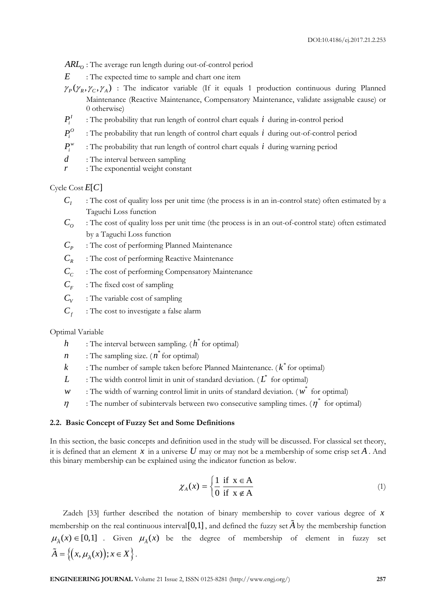$ARL<sub>o</sub>$ : The average run length during out-of-control period

- *E* : The expected time to sample and chart one item
- $\gamma_p(\gamma_g, \gamma_c, \gamma_A)$  : The indicator variable (If it equals 1 production continuous during Planned Maintenance (Reactive Maintenance, Compensatory Maintenance, validate assignable cause) or 0 otherwise)
- $P_i^I$ : The probability that run length of control chart equals *i* during in-control period
- $P_i^O$ : The probability that run length of control chart equals *i* during out-of-control period
- $P_i^w$ : The probability that run length of control chart equals *i* during warning period
- *d* : The interval between sampling
- *r* : The exponential weight constant

# Cycle Cost  $E[C]$

- $C<sub>I</sub>$ : The cost of quality loss per unit time (the process is in an in-control state) often estimated by a Taguchi Loss function
- $C$ <sup> $\alpha$ </sup> : The cost of quality loss per unit time (the process is in an out-of-control state) often estimated by a Taguchi Loss function
- $C_{p}$ : The cost of performing Planned Maintenance
- $C_R$ : The cost of performing Reactive Maintenance
- $C<sub>c</sub>$ : The cost of performing Compensatory Maintenance
- $C<sub>F</sub>$ : The fixed cost of sampling
- $C_v$ : The variable cost of sampling
- $C_f$ : The cost to investigate a false alarm

Optimal Variable

- $h$  : The interval between sampling. ( $h^*$  for optimal)
- *n* : The sampling size. (*n*<sup>\*</sup> for optimal)
- *k* : The number of sample taken before Planned Maintenance. ( \* *k* for optimal)
- *L* : The width control limit in unit of standard deviation. ( $L^*$  for optimal)
- *w* : The width of warning control limit in units of standard deviation. ( $w^*$  for optimal)
- $\eta$  : The number of subintervals between two consecutive sampling times. ( $\eta^*$  for optimal)

#### **2.2. Basic Concept of Fuzzy Set and Some Definitions**

In this section, the basic concepts and definition used in the study will be discussed. For classical set theory, it is defined that an element  $x$  in a universe  $U$  may or may not be a membership of some crisp set  $A$ . And this binary membership can be explained using the indicator function as below.

$$
\chi_A(x) = \begin{cases} \frac{1}{0} & \text{if } x \in A \\ 0 & \text{if } x \notin A \end{cases}
$$
 (1)

**ENG**: The severage randomly during out consists provide the second projection of the second terms  $\gamma_{\sigma}(\gamma_{\sigma},\gamma_{\sigma'})$ . The indicate variable is a product of  $\Gamma$  is consistent consistent in the second projection of the Zadeh [33] further described the notation of binary membership to cover various degree of *x* membership on the real continuous interval [0,1] , and defined the fuzzy set *A* by the membership function  $\mu_{\lambda}(x) \in [0,1]$  *A* Given  $\mu_{\lambda}(x)$  be the degree of membership of element in fuzzy set  $\tilde{A} = \left\{ (x, \mu_{\tilde{A}}(x)); x \in X \right\}.$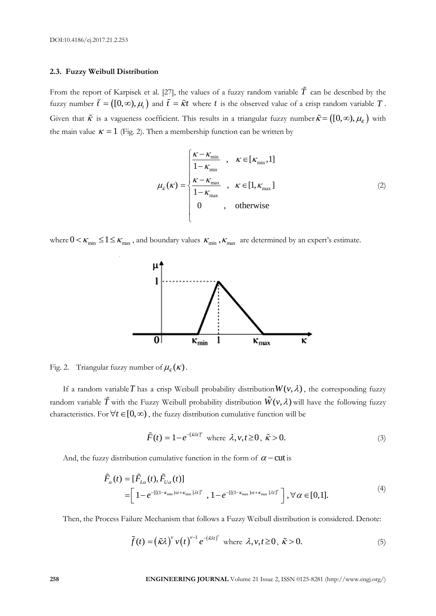#### **2.3. Fuzzy Weibull Distribution**

From the report of Karpisek et al. [27], the values of a fuzzy random variable  $\hat{T}$  can be described by the fuzzy number  $\tilde{t} = ([0, \infty), \mu_t)$  and  $\tilde{t} = \tilde{\kappa}t$  where t is the observed value of a crisp random variable T. Given that  $\tilde{\kappa}$  is a vagueness coefficient. This results in a triangular fuzzy number  $\tilde{\kappa} = ([0,\infty), \mu_{\tilde{\kappa}})$  with the main value  $\kappa = 1$  (Fig. 2). Then a membership function can be written by

$$
\mu_{\tilde{\kappa}}(\kappa) = \begin{cases}\n\frac{\kappa - \kappa_{\min}}{1 - \kappa_{\min}} & , \quad \kappa \in [\kappa_{\min}, 1] \\
\frac{\kappa - \kappa_{\max}}{1 - \kappa_{\max}} & , \quad \kappa \in [1, \kappa_{\max}] \\
0 & , \quad \text{otherwise}\n\end{cases}
$$
\n(2)

where  $0 < \kappa_{\min} \leq 1 \leq \kappa_{\max}$ , and boundary values  $\kappa_{\min}$ ,  $\kappa_{\max}$  are determined by an expert's estimate.



Fig. 2. Triangular fuzzy number of  $\mu_{\tilde{k}}(\kappa)$ .

If a random variable  $T$  has a crisp Weibull probability distribution  $W(v, \lambda)$ , the corresponding fuzzy random variable  $\tilde{T}$  with the Fuzzy Weibull probability distribution  $\tilde{W}(v, \lambda)$  will have the following fuzzy characteristics. For  $\forall t \in [0, \infty)$ , the fuzzy distribution cumulative function will be

$$
\tilde{F}(t) = 1 - e^{-\left[\tilde{\kappa}\lambda t\right]^\nu} \text{ where } \lambda, v, t \ge 0, \ \tilde{\kappa} > 0. \tag{3}
$$

And, the fuzzy distribution cumulative function in the form of 
$$
\alpha
$$
 – cut is  
\n
$$
\tilde{F}_{\alpha}(t) = [\tilde{F}_{L\alpha}(t), \tilde{F}_{U\alpha}(t)]
$$
\n
$$
= [1 - e^{-[(1 - \kappa_{\min})\alpha + \kappa_{\min}]\lambda t]^{\gamma}}, 1 - e^{-[[(1 - \kappa_{\max})\alpha + \kappa_{\max}]\lambda t]^{\gamma}}], \forall \alpha \in [0, 1].
$$
\n(4)

Then, the Process Failure Mechanism that follows a Fuzzy Weibull distribution is considered. Denote:

$$
\tilde{f}(t) = (\tilde{\kappa}\lambda)^{v} v(t)^{v-1} e^{-(\tilde{\kappa}\lambda t)^{v}} \text{ where } \lambda, v, t \ge 0, \ \tilde{\kappa} > 0.
$$
 (5)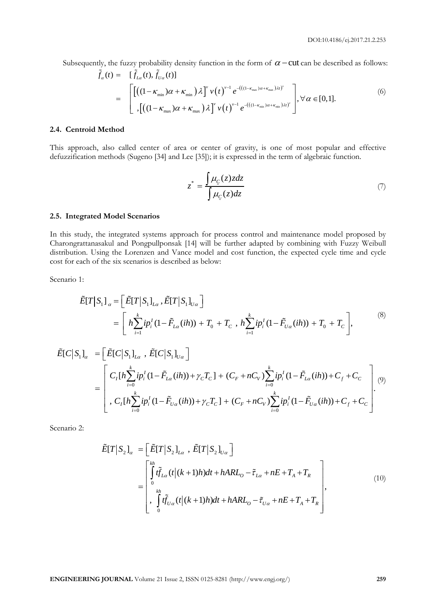Subsequently, the fuzzy probability density function in the form of  $\alpha$  -cut can be described as follows:

atly, the fuzzy probability density function in the form of 
$$
\alpha
$$
 – cut can be described as follows

\n
$$
\tilde{f}_{\alpha}(t) = \left[ \tilde{f}_{L\alpha}(t), \tilde{f}_{U\alpha}(t) \right]
$$
\n
$$
= \left[ \left[ \left( (1 - \kappa_{\min}) \alpha + \kappa_{\min} \right) \lambda \right]^{v} v(t)^{v-1} e^{-\left( ((1 - \kappa_{\max}) \alpha + \kappa_{\max}) \lambda t \right)^{v}} \right], \forall \alpha \in [0, 1].
$$
\n(6)

\n
$$
\left[ \left( (1 - \kappa_{\max}) \alpha + \kappa_{\max} \right) \lambda \right]^{v} v(t)^{v-1} e^{-\left( ((1 - \kappa_{\min}) \alpha + \kappa_{\min}) \lambda t \right)^{v}} \right], \forall \alpha \in [0, 1].
$$

#### **2.4. Centroid Method**

This approach, also called center of area or center of gravity, is one of most popular and effective defuzzification methods (Sugeno [34] and Lee [35]); it is expressed in the term of algebraic function.

$$
z^* = \frac{\int \mu_C(z) z dz}{\int \mu_C(z) dz} \tag{7}
$$

#### **2.5. Integrated Model Scenarios**

In this study, the integrated systems approach for process control and maintenance model proposed by Charongrattanasakul and Pongpullponsak [14] will be further adapted by combining with Fuzzy Weibull distribution. Using the Lorenzen and Vance model and cost function, the expected cycle time and cycle cost for each of the six scenarios is described as below:

Scenario 1:

$$
\tilde{E}[T|S_1]_{\alpha} = \left[\tilde{E}[T|S_1]_{L\alpha}, \tilde{E}[T|S_1]_{U\alpha}\right]
$$
\n
$$
= \left[h\sum_{i=1}^k ip_i^I(1-\tilde{F}_{L\alpha}(ih)) + T_0 + T_c, h\sum_{i=1}^k ip_i^I(1-\tilde{F}_{U\alpha}(ih)) + T_0 + T_c\right],
$$
\n
$$
\tilde{E}[C|S_1]_{\alpha} = \left[\tilde{E}[C|S_1]_{L\alpha}, \tilde{E}[C|S_1]_{U\alpha}\right]
$$
\n
$$
\begin{bmatrix} k & 1 \end{bmatrix}
$$
\n(8)

$$
= \left[ h \sum_{i=1}^{k} i p_i^I (1 - \tilde{F}_{L\alpha}(ih)) + T_0 + T_c , h \sum_{i=1}^{k} i p_i^I (1 - \tilde{F}_{U\alpha}(ih)) + T_0 + T_c \right],
$$
  
\n
$$
\tilde{E}[C|S_1]_{\alpha} = \left[ \tilde{E}[C|S_1]_{L\alpha} , \tilde{E}[C|S_1]_{U\alpha} \right]
$$
  
\n
$$
= \left[ C_I [h \sum_{i=0}^{k} i p_i^I (1 - \tilde{F}_{L\alpha}(ih)) + \gamma_c T_c] + (C_F + nC_V) \sum_{i=0}^{k} i p_i^I (1 - \tilde{F}_{L\alpha}(ih)) + C_f + C_c \right]_{(9)}
$$
  
\n
$$
C_I [h \sum_{i=0}^{k} i p_i^I (1 - \tilde{F}_{U\alpha}(ih)) + \gamma_c T_c] + (C_F + nC_V) \sum_{i=0}^{k} i p_i^I (1 - \tilde{F}_{U\alpha}(ih)) + C_f + C_c \right].
$$
  
\n(9)

Scenario 2:

$$
\tilde{E}[T|S_2]_{\alpha} = \left[\begin{array}{c}\tilde{E}[T|S_2]_{L\alpha}, \tilde{E}[T|S_2]_{U\alpha}\end{array}\right]
$$
\n
$$
= \begin{bmatrix}\n\int_{0}^{kh} t\tilde{f}_{L\alpha}(t|(k+1)h)dt + hARL_0 - \tilde{\tau}_{L\alpha} + nE + T_A + T_R \\
\int_{0}^{kh} t\tilde{f}_{U\alpha}(t|(k+1)h)dt + hARL_0 - \tilde{\tau}_{U\alpha} + nE + T_A + T_R\n\end{bmatrix},
$$
\n(10)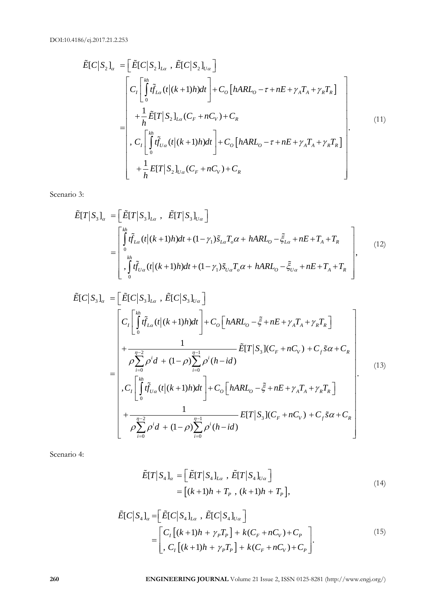DOI:10.4186/ej.2017.21.2.253

$$
\tilde{E}[C|S_{2}]_{\alpha} = \left[\tilde{E}[C|S_{2}]_{L\alpha}, \tilde{E}[C|S_{2}]_{U\alpha}\right] \n= \left[\frac{C_{I}\left[\int_{0}^{kh} \tilde{f}_{L\alpha}(t|(k+1)h)dt\right] + C_{O}\left[hARL_{O} - \tau + nE + \gamma_{A}T_{A} + \gamma_{R}T_{R}\right]}{h + \frac{1}{h}\tilde{E}[T|S_{2}]_{L\alpha}(C_{F} + nC_{V}) + C_{R}}\right] \n= \left[\frac{C_{I}\left[\int_{0}^{kh} \tilde{f}_{U\alpha}(t|(k+1)h)dt\right] + C_{O}\left[hARL_{O} - \tau + nE + \gamma_{A}T_{A} + \gamma_{R}T_{R}\right]}{C_{I}\left[\int_{0}^{kh} \tilde{f}_{U\alpha}(t|(k+1)h)dt\right] + C_{O}\left[hARL_{O} - \tau + nE + \gamma_{A}T_{A} + \gamma_{R}T_{R}\right]}\right] \n+ \frac{1}{h}E[T|S_{2}]_{U\alpha}(C_{F} + nC_{V}) + C_{R}
$$
\n(11)

Scenario 3:

$$
\tilde{E}[T|S_3]_{\alpha} = \left[\tilde{E}[T|S_3]_{L\alpha}, \tilde{E}[T|S_3]_{U\alpha}\right]
$$
\n
$$
= \begin{bmatrix}\n\int_{0}^{kh} \tilde{f}_{L\alpha}(t|(k+1)h)dt + (1-\gamma_1)\tilde{s}_{L\alpha}T_{\alpha}\alpha + hARL_0 - \tilde{\xi}_{L\alpha} + nE + T_A + T_R \\
\int_{0}^{kh} \int_{0}^{th} \tilde{f}_{U\alpha}(t|(k+1)h)dt + (1-\gamma_1)\tilde{s}_{U\alpha}T_{\alpha}\alpha + hARL_0 - \tilde{\xi}_{U\alpha} + nE + T_A + T_R\n\end{bmatrix},
$$
\n(12)\n
$$
\tilde{E}[C|S_3]_{\alpha} = \left[\tilde{E}[C|S_3]_{L\alpha}, \tilde{E}[C|S_3]_{U\alpha}\right]
$$

$$
\begin{bmatrix}\nC_1 \bigcup_{b}^{n} U_{1a} (t(k+1)h)dt \bigg] + C_0 [hARI_{0} - \tau + nE + \gamma_{A} T_{A} + \gamma_{B} T_{B}] \\
+ \frac{1}{h} \hat{E}[T | S_2]_{La} (C_F + nC_V) + C_R \\
-C_1 \bigcup_{b}^{n} \hat{U}_{0c} (t(k+1)h)dt \bigg] + C_0 [hARI_{0} - \tau + nE + \gamma_{A} T_{A} + \gamma_{B} T_{B}] \\
+ \frac{1}{h} E[T | S_3]_{La} \cdot \hat{E}[T | S_3]_{La} \bigg] \\
= \begin{bmatrix}\n\frac{1}{h} \hat{U}_{1a} (t(k+1)h)dt + (1-\gamma_{1}) \hat{S}_{1a} T_{a} \alpha + hARI_{0} - \hat{\xi}_{1a} + nE + T_{A} + T_{B} \\
\frac{1}{h} \hat{U}_{1a} \hat{U}_{1a} (t(k+1)h)dt + (1-\gamma_{1}) \hat{S}_{1a} T_{a} \alpha + hARI_{0} - \hat{\xi}_{1a} + nE + T_{A} + T_{B} \\
\frac{1}{h} \hat{U}_{0c} (t(k+1)h)dt + (1-\gamma_{1}) \hat{S}_{1a} T_{a} \alpha + hARI_{0} - \hat{\xi}_{1a} + nE + T_{A} + T_{B} \\
\vdots \\
\frac{1}{h} \hat{U}_{1c} (t(k+1)h)dt + (1-\gamma_{1}) \hat{S}_{2a} T_{a} \alpha + hARI_{0} - \hat{\xi}_{1a} + nE + T_{A} + T_{B}\n\end{bmatrix} \\
= \begin{bmatrix}\nC_1 \bigcup_{b}^{n} \hat{U}_{1a} (t(k+1)h)dt + C_1 \bigg[ hARI_{0} - \hat{\xi} + nE + \gamma_{A} T_{A} + \gamma_{B} T_{B} \\
\vdots \\
\frac{1}{h} \sum_{i=0}^{n-2} \rho^{i} d + (1-\rho) \sum_{i=0}^{n-1} \rho^{i} (h - id) \\
\vdots \\
\frac{1}{h} \sum_{i=0}^{n-1} \rho^{i} d + (1-\rho) \sum_{i=0}^{n-1} \rho^{i} (h - id) \\
\vdots \\
\frac{1}{h
$$

Scenario 4:

$$
\tilde{E}[T|S_4]_{\alpha} = \left[\tilde{E}[T|S_4]_{L\alpha}, \tilde{E}[T|S_4]_{U\alpha}\right] \n= \left[(k+1)h + T_p, (k+1)h + T_p\right],
$$
\n(14)

$$
= [(k+1)h + I_{P}, (k+1)h + I_{P}],
$$
  

$$
\tilde{E}[C|S_{4}]_{a} = \left[\tilde{E}[C|S_{4}]_{L\alpha}, \tilde{E}[C|S_{4}]_{U\alpha}\right]
$$
  

$$
= \left[\begin{matrix} C_{I}[(k+1)h + \gamma_{P}T_{P}] + k(C_{F} + nC_{V}) + C_{P} \\ C_{I}[(k+1)h + \gamma_{P}T_{P}] + k(C_{F} + nC_{V}) + C_{P} \end{matrix}\right].
$$
  
(15)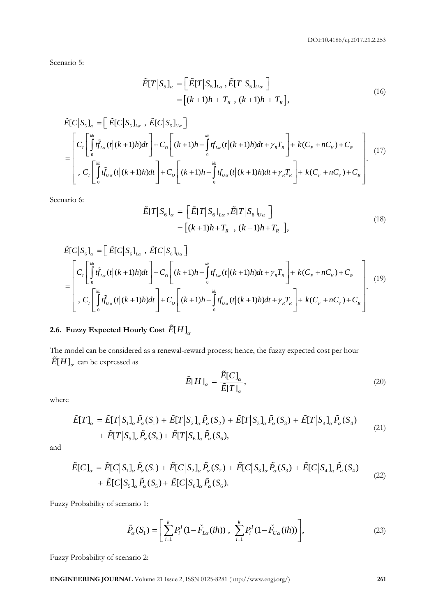Scenario 5:

$$
\tilde{E}[T|S_5]_\alpha = \left[\tilde{E}[T|S_5]_{L\alpha}, \tilde{E}[T|S_5]_{U\alpha}\right]
$$

$$
= \left[(k+1)h + T_k, (k+1)h + T_k\right],
$$
\n(16)

$$
E[I \mid S_{5}]_{\alpha} = [E[I \mid S_{5}]_{L\alpha}, E[I \mid S_{5}]_{U\alpha}]
$$
\n
$$
= [(k+1)h + T_{R}, (k+1)h + T_{R}],
$$
\n
$$
\tilde{E}[C|S_{5}]_{\alpha} = [\tilde{E}[C|S_{5}]_{L\alpha}, \tilde{E}[C|S_{5}]_{U\alpha}]
$$
\n
$$
= \begin{bmatrix} C_{I} \int_{0}^{k_{h}} \tilde{f}_{L\alpha}(t|(k+1)h)dt \\ C_{I} \int_{0}^{k_{h}} \tilde{f}_{L\alpha}(t|(k+1)h)dt + C_{I} \int_{0}^{k_{h}} \tilde{f}_{L\alpha}(t|(k+1)h)dt + \gamma_{R}T_{R} + k(C_{F} + nC_{V}) + C_{R} \\ C_{I} \int_{0}^{k_{h}} \tilde{f}_{L\alpha}(t|(k+1)h)dt + C_{I} \int_{0}^{k_{h}} \tilde{f}_{L\alpha}(t|(k+1)h)dt + \gamma_{R}T_{R} + k(C_{F} + nC_{V}) + C_{R} \end{bmatrix}.
$$
\n(17)

Scenario 6:

$$
\tilde{E}[T|S_6]_\alpha = \left[\tilde{E}[T|S_6]_{L\alpha}, \tilde{E}[T|S_6]_{U\alpha}\right]
$$

$$
= \left[(k+1)h + T_k, (k+1)h + T_k\right],
$$
\n(18)

$$
E[I \mid S_{6}]_{\alpha} = [E[I \mid S_{6}]_{L\alpha}, E[I \mid S_{6}]_{U\alpha}]
$$
\n
$$
= [(k+1)h + T_{R} , (k+1)h + T_{R}],
$$
\n
$$
\tilde{E}[C \mid S_{6}]_{\alpha} = [ \tilde{E}[C \mid S_{6}]_{L\alpha}, \tilde{E}[C \mid S_{6}]_{U\alpha}]
$$
\n
$$
= \begin{bmatrix} C_{I} \int_{0}^{k_{\theta}} \tilde{f}_{L\alpha}(t|(k+1)h)dt \\ C_{I} \int_{0}^{k_{\theta}} \tilde{f}_{L\alpha}(t|(k+1)h)dt + C_{0} \left[ (k+1)h - \int_{0}^{k_{\theta}} t f_{L\alpha}(t|(k+1)h)dt + \gamma_{R} T_{R} \right] + k(C_{F} + nC_{V}) + C_{R} \\ C_{I} \int_{0}^{k_{h}} \tilde{f}_{U\alpha}(t|(k+1)h)dt \end{bmatrix} + C_{0} \left[ (k+1)h - \int_{0}^{k_{h}} t f_{U\alpha}(t|(k+1)h)dt + \gamma_{R} T_{R} \right] + k(C_{F} + nC_{V}) + C_{R}
$$
\n(19)

# 2.6. Fuzzy Expected Hourly Cost  $\left. \tilde{E[H]}_{\alpha}\right\vert$

The model can be considered as a renewal-reward process; hence, the fuzzy expected cost per hour  $\tilde{E}[H]_{\alpha}^{\phantom{\dagger}}$  can be expressed as

$$
\tilde{E}[H]_{\alpha} = \frac{\tilde{E}[C]_{\alpha}}{\tilde{E}[T]_{\alpha}},\tag{20}
$$

where

$$
\tilde{E}[T]_{\alpha} = \tilde{E}[T|S_1]_{\alpha} \tilde{P}_{\alpha}(S_1) + \tilde{E}[T|S_2]_{\alpha} \tilde{P}_{\alpha}(S_2) + \tilde{E}[T|S_3]_{\alpha} \tilde{P}_{\alpha}(S_3) + \tilde{E}[T|S_4]_{\alpha} \tilde{P}_{\alpha}(S_4) \n+ \tilde{E}[T|S_5]_{\alpha} \tilde{P}_{\alpha}(S_5) + \tilde{E}[T|S_6]_{\alpha} \tilde{P}_{\alpha}(S_6),
$$
\n(21)

and

+ 
$$
\tilde{E}[T|S_5]_{\alpha} \tilde{P}_{\alpha}(S_5) + \tilde{E}[T|S_6]_{\alpha} \tilde{P}_{\alpha}(S_6),
$$
  
\n
$$
\tilde{E}[C]_{\alpha} = \tilde{E}[C|S_1]_{\alpha} \tilde{P}_{\alpha}(S_1) + \tilde{E}[C|S_2]_{\alpha} \tilde{P}_{\alpha}(S_2) + \tilde{E}[C|S_3]_{\alpha} \tilde{P}_{\alpha}(S_3) + \tilde{E}[C|S_4]_{\alpha} \tilde{P}_{\alpha}(S_4) + \tilde{E}[C|S_5]_{\alpha} \tilde{P}_{\alpha}(S_5) + \tilde{E}[C|S_6]_{\alpha} \tilde{P}_{\alpha}(S_6).
$$
\n(22)

Fuzzy Probability of scenario 1:

$$
\tilde{P}_{\alpha}(S_1) = \left[ \sum_{i=1}^{k} P_i^I (1 - \tilde{F}_{L\alpha}(ih)) , \sum_{i=1}^{k} P_i^I (1 - \tilde{F}_{U\alpha}(ih)) \right],
$$
\n(23)

Fuzzy Probability of scenario 2:

**ENGINEERING JOURNAL** Volume 21 Issue 2, ISSN 0125-8281 (http://www.engj.org/) **261**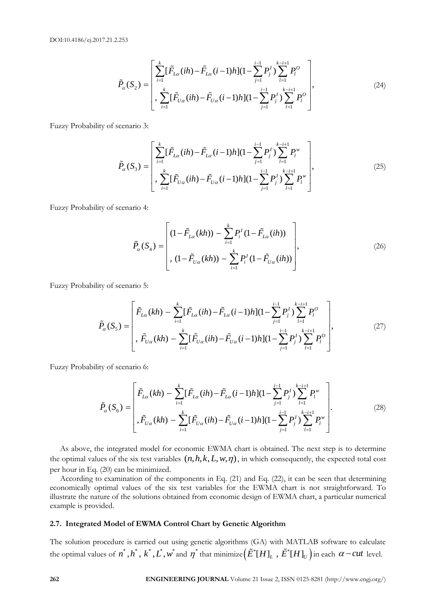2.253  
\n
$$
\tilde{P}_{\alpha}(S_{2}) = \left[\sum_{i=1}^{k} [\tilde{F}_{L\alpha}(ih) - \tilde{F}_{L\alpha}(i-1)h](1 - \sum_{j=1}^{i-1} P_{j}^{L}) \sum_{l=1}^{k-i+1} P_{l}^{O} \right],
$$
\n
$$
\tilde{P}_{\alpha}(S_{2}) = \left[\sum_{i=1}^{k} [\tilde{F}_{U\alpha}(ih) - \tilde{F}_{U\alpha}(i-1)h](1 - \sum_{j=1}^{i-1} P_{j}^{L}) \sum_{l=1}^{k-i+1} P_{l}^{O}\right],
$$
\n(24)

Fuzzy Probability of scenario 3:

$$
\tilde{P}_{\alpha}(S_{3}) = \begin{bmatrix}\sum_{i=1}^{k} [\tilde{F}_{L\alpha}(ih) - \tilde{F}_{L\alpha}(i-1)h](1 - \sum_{j=1}^{i-1} P_{j}^{l}) \sum_{l=1}^{k-i+1} P_{l}^{w} \\ \sum_{i=1}^{k} [\tilde{F}_{U\alpha}(ih) - \tilde{F}_{U\alpha}(i-1)h](1 - \sum_{j=1}^{i-1} P_{j}^{l}) \sum_{l=1}^{k-i+1} P_{l}^{w} \end{bmatrix},
$$
\n(25)

Fuzzy Probability of scenario 4:

$$
\tilde{P}_{\alpha}(S_4) = \left[ (1 - \tilde{F}_{L\alpha}(kh)) - \sum_{i=1}^{k} P_i^I (1 - \tilde{F}_{L\alpha}(ih)) \right],
$$
\n
$$
(26)
$$
\n
$$
(1 - \tilde{F}_{U\alpha}(kh)) - \sum_{i=1}^{k} P_i^I (1 - \tilde{F}_{U\alpha}(ih)) \right],
$$

Fuzzy Probability of scenario 5:

ity of scenario 5:  
\n
$$
\tilde{P}_{\alpha}(S_{5}) = \begin{bmatrix}\n\tilde{F}_{L\alpha}(kh) - \sum_{i=1}^{k} [\tilde{F}_{L\alpha}(ih) - \tilde{F}_{L\alpha}(i-1)h](1 - \sum_{j=1}^{i-1} P_{j}^{I}) \sum_{l=1}^{k-i+1} P_{l}^{O} \\
\vdots \\
\tilde{F}_{U\alpha}(kh) - \sum_{i=1}^{k} [\tilde{F}_{U\alpha}(ih) - \tilde{F}_{U\alpha}(i-1)h](1 - \sum_{j=1}^{i-1} P_{j}^{I}) \sum_{l=1}^{k-i+1} P_{l}^{O}\n\end{bmatrix},
$$
\n(27)

Fuzzy Probability of scenario 6:

$$
\tilde{P}_{\alpha}(S_{6}) = \begin{bmatrix}\n\tilde{F}_{L\alpha}(kh) - \sum_{i=1}^{k} [\tilde{F}_{L\alpha}(ih) - \tilde{F}_{L\alpha}(i-1)h](1 - \sum_{j=1}^{i-1} P_{j}^{I}) \sum_{l=1}^{k-i+1} P_{l}^{w} \\
\vdots \\
\tilde{F}_{U\alpha}(kh) - \sum_{i=1}^{k} [\tilde{F}_{U\alpha}(ih) - \tilde{F}_{U\alpha}(i-1)h](1 - \sum_{j=1}^{i-1} P_{j}^{I}) \sum_{l=1}^{k-i+1} P_{l}^{w}\n\end{bmatrix}.
$$
\n(28)

As above, the integrated model for economic EWMA chart is obtained. The next step is to determine the optimal values of the six test variables  $(n, h, k, L, w, \eta)$ , in which consequently, the expected total cost per hour in Eq. (20) can be minimized.

According to examination of the components in Eq. (21) and Eq. (22), it can be seen that determining economically optimal values of the six test variables for the EWMA chart is not straightforward. To illustrate the nature of the solutions obtained from economic design of EWMA chart, a particular numerical example is provided.

# **2.7. Integrated Model of EWMA Control Chart by Genetic Algorithm**

The solution procedure is carried out using genetic algorithms (GA) with MATLAB software to calculate the optimal values of  $n^*,h^*,k^*,L^*,w^*$  and  $\eta^*$  that minimize  $\left(\tilde{E}^*[H]_L^-, \tilde{E}^*[H]_U^-\right)$  in each  $\alpha$  –  $cut$  level.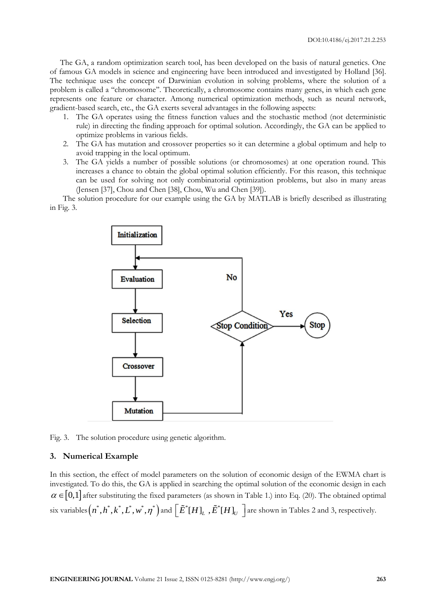The GA, a random optimization search tool, has been developed on the basis of natural genetics. One of famous GA models in science and engineering have been introduced and investigated by Holland [36]. The technique uses the concept of Darwinian evolution in solving problems, where the solution of a problem is called a ''chromosome''. Theoretically, a chromosome contains many genes, in which each gene represents one feature or character. Among numerical optimization methods, such as neural network, gradient-based search, etc., the GA exerts several advantages in the following aspects:

- 1. The GA operates using the fitness function values and the stochastic method (not deterministic rule) in directing the finding approach for optimal solution. Accordingly, the GA can be applied to optimize problems in various fields.
- 2. The GA has mutation and crossover properties so it can determine a global optimum and help to avoid trapping in the local optimum.
- 3. The GA yields a number of possible solutions (or chromosomes) at one operation round. This increases a chance to obtain the global optimal solution efficiently. For this reason, this technique can be used for solving not only combinatorial optimization problems, but also in many areas (Jensen [37], Chou and Chen [38], Chou, Wu and Chen [39]).

The solution procedure for our example using the GA by MATLAB is briefly described as illustrating in Fig. 3.



Fig. 3. The solution procedure using genetic algorithm.

#### **3. Numerical Example**

In this section, the effect of model parameters on the solution of economic design of the EWMA chart is investigated. To do this, the GA is applied in searching the optimal solution of the economic design in each  $\alpha \in [0,1]$  after substituting the fixed parameters (as shown in Table 1.) into Eq. (20). The obtained optimal six variables  $\left(n^*,h^*,k^*,L^*,w^*,\eta^*\right)$  and  $\left[\tilde{E}^*[H]_L$  ,  $\tilde{E}^*[H]_U$   $\right]$  are shown in Tables 2 and 3, respectively.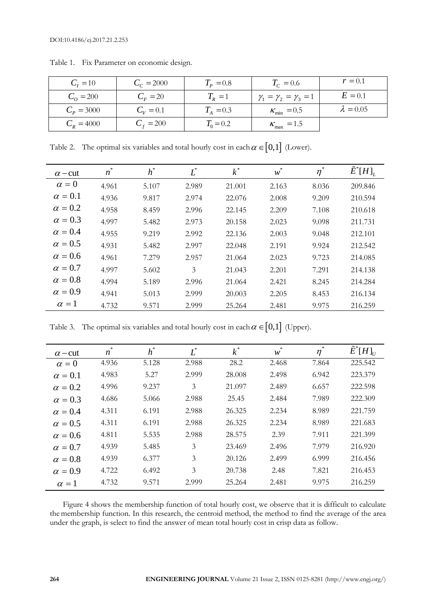| $C_{I} = 10$       | $C_c = 2000$  | $T_p = 0.8$   | $T_c = 0.6$                          | $r = 0.1$        |
|--------------------|---------------|---------------|--------------------------------------|------------------|
| $C_{\Omega} = 200$ | $C_F = 20$    | $T_R=1$       | $\gamma_1 = \gamma_2 = \gamma_3 = 1$ | $E=0.1$          |
| $C_p = 3000$       | $C_{V} = 0.1$ | $T_{A} = 0.3$ | $K_{\text{min}} = 0.5$               | $\lambda = 0.05$ |
| $C_{R} = 4000$     | $C_f = 200$   | $T_0 = 0.2$   | $K_{\text{max}}$ = 1.5               |                  |

Table 1. Fix Parameter on economic design.

Table 2. The optimal six variables and total hourly cost in each  $\alpha \in [0,1]$  (Lower).

| $\alpha$ – cut | $\frac{1}{2}$<br>n | $h^*$ | $L^*$ | $k^*$  | $\ast$<br>w | *<br>$\eta$ | $\tilde{E}^*[H]_L$ |
|----------------|--------------------|-------|-------|--------|-------------|-------------|--------------------|
| $\alpha = 0$   | 4.961              | 5.107 | 2.989 | 21.001 | 2.163       | 8.036       | 209.846            |
| $\alpha = 0.1$ | 4.936              | 9.817 | 2.974 | 22.076 | 2.008       | 9.209       | 210.594            |
| $\alpha = 0.2$ | 4.958              | 8.459 | 2.996 | 22.145 | 2.209       | 7.108       | 210.618            |
| $\alpha = 0.3$ | 4.997              | 5.482 | 2.973 | 20.158 | 2.023       | 9.098       | 211.731            |
| $\alpha = 0.4$ | 4.955              | 9.219 | 2.992 | 22.136 | 2.003       | 9.048       | 212.101            |
| $\alpha = 0.5$ | 4.931              | 5.482 | 2.997 | 22.048 | 2.191       | 9.924       | 212.542            |
| $\alpha = 0.6$ | 4.961              | 7.279 | 2.957 | 21.064 | 2.023       | 9.723       | 214.085            |
| $\alpha = 0.7$ | 4.997              | 5.602 | 3     | 21.043 | 2.201       | 7.291       | 214.138            |
| $\alpha = 0.8$ | 4.994              | 5.189 | 2.996 | 21.064 | 2.421       | 8.245       | 214.284            |
| $\alpha = 0.9$ | 4.941              | 5.013 | 2.999 | 20.003 | 2.205       | 8.453       | 216.134            |
| $\alpha = 1$   | 4.732              | 9.571 | 2.999 | 25.264 | 2.481       | 9.975       | 216.259            |

Table 3. The optimal six variables and total hourly cost in each  $\alpha \in [0,1]$  (Upper).

| $\alpha$ – cut | 永<br>n | $h^*$ | $L^*$ | $k^*$  | w     | $\eta$ | $\tilde{E}^*[H]_{U}$ |
|----------------|--------|-------|-------|--------|-------|--------|----------------------|
| $\alpha = 0$   | 4.936  | 5.128 | 2.988 | 28.2   | 2.468 | 7.864  | 225.542              |
| $\alpha = 0.1$ | 4.983  | 5.27  | 2.999 | 28.008 | 2.498 | 6.942  | 223.379              |
| $\alpha = 0.2$ | 4.996  | 9.237 | 3     | 21.097 | 2.489 | 6.657  | 222.598              |
| $\alpha = 0.3$ | 4.686  | 5.066 | 2.988 | 25.45  | 2.484 | 7.989  | 222.309              |
| $\alpha = 0.4$ | 4.311  | 6.191 | 2.988 | 26.325 | 2.234 | 8.989  | 221.759              |
| $\alpha = 0.5$ | 4.311  | 6.191 | 2.988 | 26.325 | 2.234 | 8.989  | 221.683              |
| $\alpha = 0.6$ | 4.811  | 5.535 | 2.988 | 28.575 | 2.39  | 7.911  | 221.399              |
| $\alpha = 0.7$ | 4.939  | 5.485 | 3     | 23.469 | 2.496 | 7.979  | 216.920              |
| $\alpha = 0.8$ | 4.939  | 6.377 | 3     | 20.126 | 2.499 | 6.999  | 216.456              |
| $\alpha = 0.9$ | 4.722  | 6.492 | 3     | 20.738 | 2.48  | 7.821  | 216.453              |
| $\alpha = 1$   | 4.732  | 9.571 | 2.999 | 25.264 | 2.481 | 9.975  | 216.259              |

Figure 4 shows the membership function of total hourly cost, we observe that it is difficult to calculate the membership function. In this research, the centroid method, the method to find the average of the area under the graph, is select to find the answer of mean total hourly cost in crisp data as follow.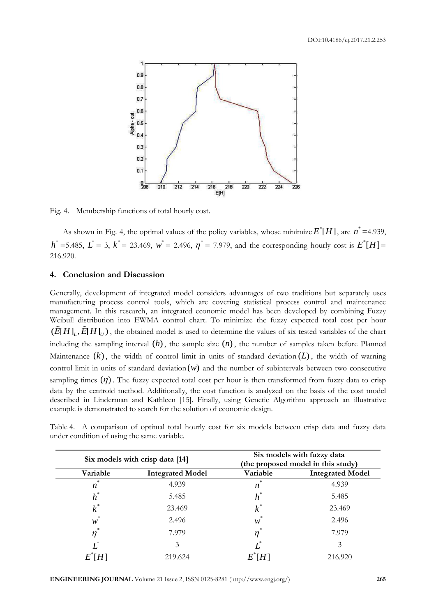

Fig. 4. Membership functions of total hourly cost.

As shown in Fig. 4, the optimal values of the policy variables, whose minimize  $E^*[H]$ , are  $n^*=$ 4.939,  $h^*$  =5.485,  $L^*$  = 3,  $k^*$  = 23.469,  $w^*$  = 2.496,  $\eta^*$  = 7.979, and the corresponding hourly cost is  $E^* [H]$  = 216.920.

#### **4. Conclusion and Discussion**

Generally, development of integrated model considers advantages of two traditions but separately uses manufacturing process control tools, which are covering statistical process control and maintenance management. In this research, an integrated economic model has been developed by combining Fuzzy Weibull distribution into EWMA control chart. To minimize the fuzzy expected total cost per hour  $(\tilde{E}[H]_L, \tilde{E}[H]_U)$ , the obtained model is used to determine the values of six tested variables of the chart including the sampling interval  $(h)$ , the sample size  $(n)$ , the number of samples taken before Planned Maintenance  $(k)$ , the width of control limit in units of standard deviation  $(L)$ , the width of warning control limit in units of standard deviation (w) and the number of subintervals between two consecutive sampling times  $(\eta)$ . The fuzzy expected total cost per hour is then transformed from fuzzy data to crisp data by the centroid method. Additionally, the cost function is analyzed on the basis of the cost model described in Linderman and Kathleen [15]. Finally, using Genetic Algorithm approach an illustrative example is demonstrated to search for the solution of economic design.

Table 4. A comparison of optimal total hourly cost for six models between crisp data and fuzzy data under condition of using the same variable.

|                                   | Six models with crisp data [14] | Six models with fuzzy data<br>(the proposed model in this study) |                         |  |
|-----------------------------------|---------------------------------|------------------------------------------------------------------|-------------------------|--|
| Variable                          | <b>Integrated Model</b>         | Variable                                                         | <b>Integrated Model</b> |  |
| $\frac{1}{2}$<br>$\boldsymbol{n}$ | 4.939                           | $\boldsymbol{n}$                                                 | 4.939                   |  |
| $h^*$                             | 5.485                           | $h^*$                                                            | 5.485                   |  |
| $k^*$                             | 23.469                          | $k^*$                                                            | 23.469                  |  |
| *<br>W                            | 2.496                           | w                                                                | 2.496                   |  |
| $\eta^*$                          | 7.979                           | *<br>$\eta$                                                      | 7.979                   |  |
|                                   | 3                               |                                                                  | 3                       |  |
|                                   | 219.624                         |                                                                  | 216.920                 |  |

**ENGINEERING JOURNAL** Volume 21 Issue 2, ISSN 0125-8281 (http://www.engj.org/) **265**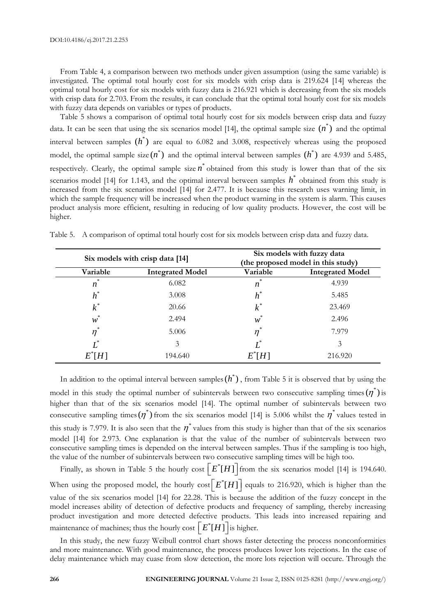\* *k*

\* *w*

\* *L*

 $E^* H$ ]

\*  $\eta$ 

From Table 4, a comparison between two methods under given assumption (using the same variable) is investigated. The optimal total hourly cost for six models with crisp data is 219.624 [14] whereas the optimal total hourly cost for six models with fuzzy data is 216.921 which is decreasing from the six models with crisp data for 2.703. From the results, it can conclude that the optimal total hourly cost for six models with fuzzy data depends on variables or types of products.

Table 5 shows a comparison of optimal total hourly cost for six models between crisp data and fuzzy data. It can be seen that using the six scenarios model [14], the optimal sample size  $(n^*)$  and the optimal interval between samples  $(h^*)$  are equal to 6.082 and 3.008, respectively whereas using the proposed model, the optimal sample size  $(n^*)$  and the optimal interval between samples  $(h^*)$  are 4.939 and 5.485, respectively. Clearly, the optimal sample size  $n^*$  obtained from this study is lower than that of the six scenarios model [14] for 1.143, and the optimal interval between samples  $h^*$  obtained from this study is increased from the six scenarios model [14] for 2.477. It is because this research uses warning limit, in which the sample frequency will be increased when the product warning in the system is alarm. This causes product analysis more efficient, resulting in reducing of low quality products. However, the cost will be higher.

|          | Six models with crisp data [14] |          | Six models with fuzzy data<br>(the proposed model in this study) |
|----------|---------------------------------|----------|------------------------------------------------------------------|
| Variable | <b>Integrated Model</b>         | Variable | <b>Integrated Model</b>                                          |
| n        | 6.082                           | ×        | 4.939                                                            |
|          | 3.008                           |          | 5.485                                                            |

\* *k*

\* *w*

 $\eta^*$ 

\* *L*

 $E^*[H]$ 

23.469

2.496

7.979

3

216.920

20.66

2.494

5.006

3

194.640

Table 5. A comparison of optimal total hourly cost for six models between crisp data and fuzzy data.

In addition to the optimal interval between samples  $(h^*)$ , from Table 5 it is observed that by using the model in this study the optimal number of subintervals between two consecutive sampling times  $(\eta^*)$  is higher than that of the six scenarios model [14]. The optimal number of subintervals between two consecutive sampling times  $(\eta^*)$  from the six scenarios model [14] is 5.006 whilst the  $\eta^*$  values tested in this study is 7.979. It is also seen that the  $\eta^*$  values from this study is higher than that of the six scenarios model [14] for 2.973. One explanation is that the value of the number of subintervals between two consecutive sampling times is depended on the interval between samples. Thus if the sampling is too high, the value of the number of subintervals between two consecutive sampling times will be high too.

Finally, as shown in Table 5 the hourly cost  $\left[E^*[H]\right]$  from the six scenarios model [14] is 194.640. When using the proposed model, the hourly  $cost\left[E^*[H]\right]$  equals to 216.920, which is higher than the value of the six scenarios model [14] for 22.28. This is because the addition of the fuzzy concept in the model increases ability of detection of defective products and frequency of sampling, thereby increasing product investigation and more detected defective products. This leads into increased repairing and maintenance of machines; thus the hourly cost  $\left[E^*[H]\right]$  is higher.

In this study, the new fuzzy Weibull control chart shows faster detecting the process nonconformities and more maintenance. With good maintenance, the process produces lower lots rejections. In the case of delay maintenance which may cuase from slow detection, the more lots rejection will occure. Through the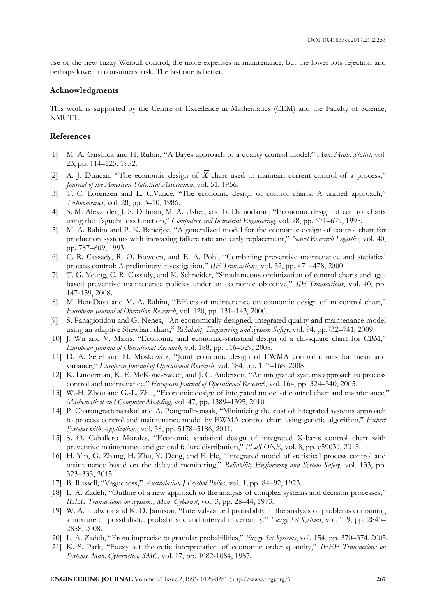use of the new fuzzy Weibull control, the more expenses in maintenance, but the lower lots rejection and perhaps lower in consumers' risk. The last one is better.

#### **Acknowledgments**

This work is supported by the Centre of Excellence in Mathematics (CEM) and the Faculty of Science, KMUTT.

### **References**

- [1] M. A. Girshick and H. Rubin, "A Bayes approach to a quality control model," *Ann. Math. Statist*, vol. 23, pp. 114–125, 1952.
- [2] A. J. Duncan, "The economic design of X chart used to maintain current control of a process," *Journal of the American Statistical Association*, vol. 51, 1956.
- [3] T. C. Lorenzen and L. C.Vance, "The economic design of control charts: A unified approach," *Technometrics*, vol. 28, pp. 3–10, 1986.
- [4] S. M. Alexander, J. S. Dillman, M. A. Usher, and B. Damodaran, "Economic design of control charts using the Taguchi loss function," *Computers and Industrial Engineering*, vol. 28, pp. 671–679, 1995.
- [5] M. A. Rahim and P. K. Banerjee, "A generalized model for the economic design of control chart for production systems with increasing failure rate and early replacement," *Navel Research Logistics*, vol. 40, pp. 787–809, 1993.
- [6] C. R. Cassady, R. O. Bowden, and E. A. Pohl, "Combining preventive maintenance and statistical process control: A preliminary investigation," *IIE Transactions*, vol. 32, pp. 471–478, 2000.
- [7] T. G. Yeung, C. R. Cassady, and K. Schneider, "Simultaneous optimization of control charts and agebased preventive maintenance policies under an economic objective," *IIE Transactions*, vol. 40, pp. 147-159, 2008.
- [8] M. Ben-Daya and M. A. Rahim, "Effects of maintenance on economic design of an control chart," *European Journal of Operation Research*, vol. 120, pp. 131–143, 2000.
- [9] S. Panagiotidou and G. Nenes, "An economically designed, integrated quality and maintenance model using an adaptive Shewhart chart," *Reliability Engineering and System Safety*, vol. 94, pp.732–741, 2009.
- [10] J. Wu and V. Makis, "Economic and economic-statistical design of a chi-square chart for CBM," *European Journal of Operational Research*, vol. 188, pp. 516–529, 2008.
- [11] D. A. Serel and H. Moskowitz, "Joint economic design of EWMA control charts for mean and variance," *European Journal of Operational Research*, vol. 184, pp. 157–168, 2008.
- [12] K. Linderman, K. E. McKone-Sweet, and J. C. Anderson, "An integrated systems approach to process control and maintenance," *European Journal of Operational Research*, vol. 164, pp. 324–340, 2005.
- [13] W.-H. Zhou and G.-L. Zhu, "Economic design of integrated model of control chart and maintenance," *Mathematical and Computer Modeling*, vol. 47, pp. 1389–1395, 2010.
- [14] P. Charongrattanasakul and A. Pongpullponsak, "Minimizing the cost of integrated systems approach to process control and maintenance model by EWMA control chart using genetic algorithm," *Expert Systems with Applications*, vol. 38, pp. 5178–5186, 2011.
- [15] S. O. Caballero Morales, "Economic statistical design of integrated X-bar-s control chart with preventive maintenance and general failure distribution," *PLoS ONE*, vol. 8, pp. e59039, 2013.
- [16] H. Yin, G. Zhang, H. Zhu, Y. Deng, and F. He, "Integrated model of statistical process control and maintenance based on the delayed monitoring," *Reliability Engineering and System Safety*, vol. 133, pp. 323–333, 2015.
- [17] B. Russell, "Vagueness," *Australasian J Psychol Philos*, vol. 1, pp. 84–92, 1923.
- [18] L. A. Zadeh, "Outline of a new approach to the analysis of complex systems and decision processes," *IEEE Transactions on Systems, Man, Cybernet*, vol. 3, pp. 28–44, 1973.
- [19] W. A. Lodwick and K. D. Jamison, "Interval-valued probability in the analysis of problems containing a mixture of possibilistic, probabilistic and interval uncertainty," *Fuzzy Set Systems*, vol. 159, pp. 2845– 2858, 2008.
- [20] L. A. Zadeh, "From imprecise to granular probabilities," *Fuzzy Set Systems*, vol. 154, pp. 370–374, 2005.
- [21] K. S. Park, "Fuzzy set theoretic interpretation of economic order quantity," *IEEE Transactions on Systems, Man, Cybernetics, SMC*, vol. 17, pp. 1082-1084, 1987.